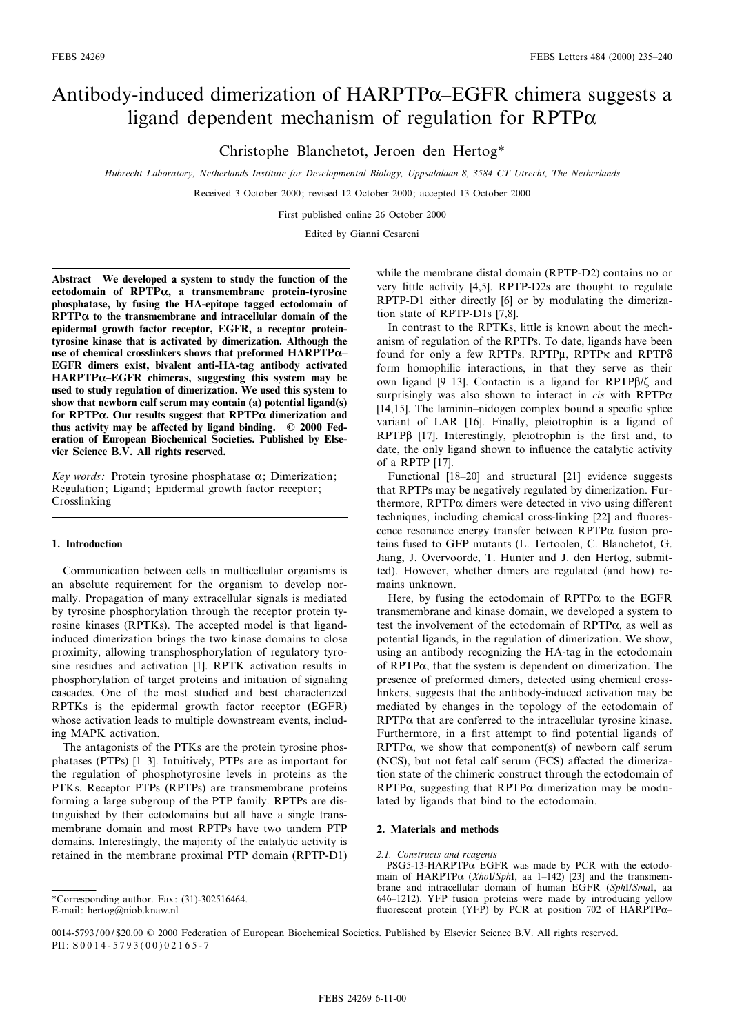# Antibody-induced dimerization of  $HARPTP\alpha$ –EGFR chimera suggests a ligand dependent mechanism of regulation for RPTP $\alpha$

Christophe Blanchetot, Jeroen den Hertog\*

Hubrecht Laboratory, Netherlands Institute for Developmental Biology, Uppsalalaan 8, 3584 CT Utrecht, The Netherlands

Received 3 October 2000; revised 12 October 2000; accepted 13 October 2000

First published online 26 October 2000

Edited by Gianni Cesareni

Abstract We developed a system to study the function of the ectodomain of  $RPTP\alpha$ , a transmembrane protein-tyrosine phosphatase, by fusing the HA-epitope tagged ectodomain of  $RPTP\alpha$  to the transmembrane and intracellular domain of the epidermal growth factor receptor, EGFR, a receptor proteintyrosine kinase that is activated by dimerization. Although the use of chemical crosslinkers shows that preformed  $HARPTP\alpha-$ EGFR dimers exist, bivalent anti-HA-tag antibody activated  $HARPTP\alpha$ -EGFR chimeras, suggesting this system may be used to study regulation of dimerization. We used this system to show that newborn calf serum may contain (a) potential ligand(s) for RPTP $\alpha$ . Our results suggest that RPTP $\alpha$  dimerization and thus activity may be affected by ligand binding.  $\oslash$  2000 Federation of European Biochemical Societies. Published by Elsevier Science B.V. All rights reserved.

Key words: Protein tyrosine phosphatase  $\alpha$ ; Dimerization; Regulation; Ligand; Epidermal growth factor receptor; Crosslinking

## 1. Introduction

Communication between cells in multicellular organisms is an absolute requirement for the organism to develop normally. Propagation of many extracellular signals is mediated by tyrosine phosphorylation through the receptor protein tyrosine kinases (RPTKs). The accepted model is that ligandinduced dimerization brings the two kinase domains to close proximity, allowing transphosphorylation of regulatory tyrosine residues and activation [1]. RPTK activation results in phosphorylation of target proteins and initiation of signaling cascades. One of the most studied and best characterized RPTKs is the epidermal growth factor receptor (EGFR) whose activation leads to multiple downstream events, including MAPK activation.

The antagonists of the PTKs are the protein tyrosine phosphatases (PTPs) [1^3]. Intuitively, PTPs are as important for the regulation of phosphotyrosine levels in proteins as the PTKs. Receptor PTPs (RPTPs) are transmembrane proteins forming a large subgroup of the PTP family. RPTPs are distinguished by their ectodomains but all have a single transmembrane domain and most RPTPs have two tandem PTP domains. Interestingly, the majority of the catalytic activity is retained in the membrane proximal PTP domain (RPTP-D1)

\*Corresponding author. Fax: (31)-302516464. E-mail: hertog@niob.knaw.nl

while the membrane distal domain (RPTP-D2) contains no or very little activity [4,5]. RPTP-D2s are thought to regulate RPTP-D1 either directly [6] or by modulating the dimerization state of RPTP-D1s [7,8].

In contrast to the RPTKs, little is known about the mechanism of regulation of the RPTPs. To date, ligands have been found for only a few RPTPs. RPTPu, RPTPK and RPTPo form homophilic interactions, in that they serve as their own ligand  $[9-13]$ . Contactin is a ligand for RPTP $\beta$ / $\zeta$  and surprisingly was also shown to interact in *cis* with  $RPTP\alpha$ [ $14,15$ ]. The laminin-nidogen complex bound a specific splice variant of LAR [16]. Finally, pleiotrophin is a ligand of  $RPTP\beta$  [17]. Interestingly, pleiotrophin is the first and, to date, the only ligand shown to influence the catalytic activity of a RPTP [17].

Functional [18-20] and structural [21] evidence suggests that RPTPs may be negatively regulated by dimerization. Furthermore,  $RPTP\alpha$  dimers were detected in vivo using different techniques, including chemical cross-linking [22] and fluorescence resonance energy transfer between RPTP $\alpha$  fusion proteins fused to GFP mutants (L. Tertoolen, C. Blanchetot, G. Jiang, J. Overvoorde, T. Hunter and J. den Hertog, submitted). However, whether dimers are regulated (and how) remains unknown.

Here, by fusing the ectodomain of  $RPTP\alpha$  to the EGFR transmembrane and kinase domain, we developed a system to test the involvement of the ectodomain of  $RPTP\alpha$ , as well as potential ligands, in the regulation of dimerization. We show, using an antibody recognizing the HA-tag in the ectodomain of RPTP $\alpha$ , that the system is dependent on dimerization. The presence of preformed dimers, detected using chemical crosslinkers, suggests that the antibody-induced activation may be mediated by changes in the topology of the ectodomain of  $RPTP\alpha$  that are conferred to the intracellular tyrosine kinase. Furthermore, in a first attempt to find potential ligands of  $RPTP\alpha$ , we show that component(s) of newborn calf serum (NCS), but not fetal calf serum (FCS) affected the dimerization state of the chimeric construct through the ectodomain of  $RPTP\alpha$ , suggesting that  $RPTP\alpha$  dimerization may be modulated by ligands that bind to the ectodomain.

# 2. Materials and methods

### 2.1. Constructs and reagents

 $PSG5-13-HARPTP\alpha$ -EGFR was made by PCR with the ectodomain of HARPTP $\alpha$  (XhoI/SphI, aa 1-142) [23] and the transmembrane and intracellular domain of human EGFR (SphI/SmaI, aa 646^1212). YFP fusion proteins were made by introducing yellow fluorescent protein (YFP) by PCR at position 702 of HARPTP $\alpha$ -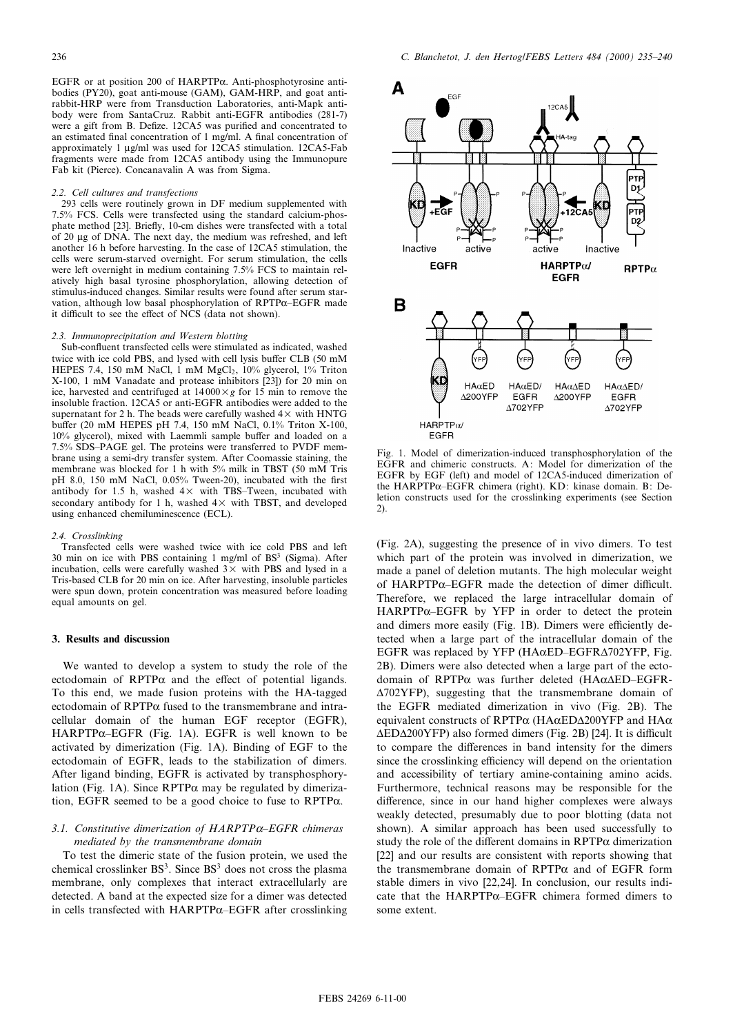EGFR or at position 200 of HARPTP $\alpha$ . Anti-phosphotyrosine antibodies (PY20), goat anti-mouse (GAM), GAM-HRP, and goat antirabbit-HRP were from Transduction Laboratories, anti-Mapk antibody were from SantaCruz. Rabbit anti-EGFR antibodies (281-7) were a gift from B. Defize. 12CA5 was purified and concentrated to an estimated final concentration of 1 mg/ml. A final concentration of approximately 1 µg/ml was used for 12CA5 stimulation. 12CA5-Fab fragments were made from 12CA5 antibody using the Immunopure Fab kit (Pierce). Concanavalin A was from Sigma.

#### 2.2. Cell cultures and transfections

293 cells were routinely grown in DF medium supplemented with 7.5% FCS. Cells were transfected using the standard calcium-phosphate method [23]. Brie£y, 10-cm dishes were transfected with a total of 20 Wg of DNA. The next day, the medium was refreshed, and left another 16 h before harvesting. In the case of 12CA5 stimulation, the cells were serum-starved overnight. For serum stimulation, the cells were left overnight in medium containing 7.5% FCS to maintain relatively high basal tyrosine phosphorylation, allowing detection of stimulus-induced changes. Similar results were found after serum starvation, although low basal phosphorylation of  $RPTP\alpha$ –EGFR made it difficult to see the effect of NCS (data not shown).

## 2.3. Immunoprecipitation and Western blotting

Sub-confluent transfected cells were stimulated as indicated, washed twice with ice cold PBS, and lysed with cell lysis buffer CLB (50 mM HEPES 7.4, 150 mM NaCl, 1 mM MgCl<sub>2</sub>, 10% glycerol, 1% Triton X-100, 1 mM Vanadate and protease inhibitors [23]) for 20 min on ice, harvested and centrifuged at  $14000 \times g$  for 15 min to remove the insoluble fraction. 12CA5 or anti-EGFR antibodies were added to the supernatant for 2 h. The beads were carefully washed  $4\times$  with HNTG buffer (20 mM HEPES pH 7.4, 150 mM NaCl, 0.1% Triton X-100,  $10\%$  glycerol), mixed with Laemmli sample buffer and loaded on a 7.5% SDS-PAGE gel. The proteins were transferred to PVDF membrane using a semi-dry transfer system. After Coomassie staining, the membrane was blocked for 1 h with 5% milk in TBST (50 mM Tris pH 8.0, 150 mM NaCl,  $0.05\%$  Tween-20), incubated with the first antibody for 1.5 h, washed  $4\times$  with TBS-Tween, incubated with secondary antibody for 1 h, washed  $4 \times$  with TBST, and developed using enhanced chemiluminescence (ECL).

#### 2.4. Crosslinking

Transfected cells were washed twice with ice cold PBS and left 30 min on ice with PBS containing 1 mg/ml of  $BS<sup>3</sup>$  (Sigma). After incubation, cells were carefully washed  $3\times$  with PBS and lysed in a Tris-based CLB for 20 min on ice. After harvesting, insoluble particles were spun down, protein concentration was measured before loading equal amounts on gel.

## 3. Results and discussion

We wanted to develop a system to study the role of the ectodomain of  $RPTP\alpha$  and the effect of potential ligands. To this end, we made fusion proteins with the HA-tagged ectodomain of  $RPTP\alpha$  fused to the transmembrane and intracellular domain of the human EGF receptor (EGFR),  $HARPTP\alpha$ -EGFR (Fig. 1A). EGFR is well known to be activated by dimerization (Fig. 1A). Binding of EGF to the ectodomain of EGFR, leads to the stabilization of dimers. After ligand binding, EGFR is activated by transphosphorylation (Fig. 1A). Since  $RPTP\alpha$  may be regulated by dimerization, EGFR seemed to be a good choice to fuse to  $RPTP\alpha$ .

## 3.1. Constitutive dimerization of  $HARPTP\alpha$ -EGFR chimeras mediated by the transmembrane domain

To test the dimeric state of the fusion protein, we used the chemical crosslinker  $BS^3$ . Since  $BS^3$  does not cross the plasma membrane, only complexes that interact extracellularly are detected. A band at the expected size for a dimer was detected in cells transfected with  $HARPTP\alpha$ -EGFR after crosslinking



Fig. 1. Model of dimerization-induced transphosphorylation of the EGFR and chimeric constructs. A: Model for dimerization of the EGFR by EGF (left) and model of 12CA5-induced dimerization of the HARPTP $\alpha$ -EGFR chimera (right). KD: kinase domain. B: Deletion constructs used for the crosslinking experiments (see Section 2).

(Fig. 2A), suggesting the presence of in vivo dimers. To test which part of the protein was involved in dimerization, we made a panel of deletion mutants. The high molecular weight of  $HARPTP\alpha$ -EGFR made the detection of dimer difficult. Therefore, we replaced the large intracellular domain of  $HARPTP\alpha$ -EGFR by YFP in order to detect the protein and dimers more easily (Fig. 1B). Dimers were efficiently detected when a large part of the intracellular domain of the EGFR was replaced by YFP (HA $\alpha$ ED–EGFR $\Delta$ 702YFP, Fig. 2B). Dimers were also detected when a large part of the ectodomain of RPTP $\alpha$  was further deleted (HA $\alpha\Delta ED$ -EGFR- $\triangle$ 702YFP), suggesting that the transmembrane domain of the EGFR mediated dimerization in vivo (Fig. 2B). The equivalent constructs of RPTP $\alpha$  (HA $\alpha$ ED $\Delta$ 200YFP and HA $\alpha$  $\triangle EDA200YFP$ ) also formed dimers (Fig. 2B) [24]. It is difficult to compare the differences in band intensity for the dimers since the crosslinking efficiency will depend on the orientation and accessibility of tertiary amine-containing amino acids. Furthermore, technical reasons may be responsible for the difference, since in our hand higher complexes were always weakly detected, presumably due to poor blotting (data not shown). A similar approach has been used successfully to study the role of the different domains in  $RPTP\alpha$  dimerization [22] and our results are consistent with reports showing that the transmembrane domain of  $RPTP\alpha$  and of EGFR form stable dimers in vivo [22,24]. In conclusion, our results indicate that the HARPTP $\alpha$ -EGFR chimera formed dimers to some extent.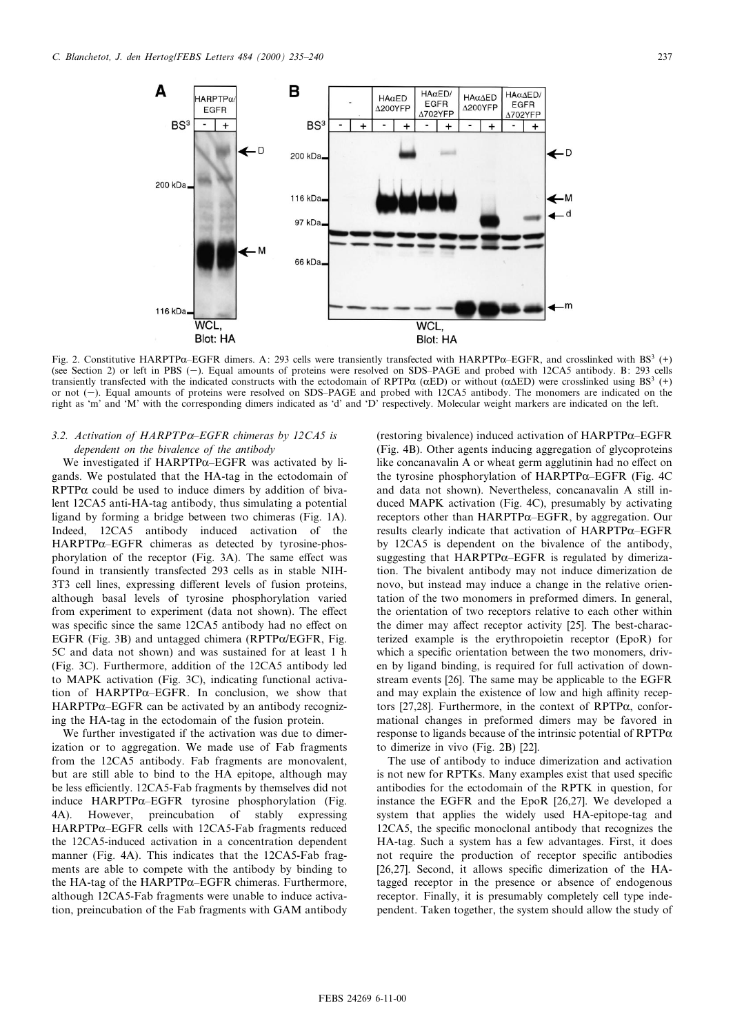

Fig. 2. Constitutive HARPTP $\alpha$ -EGFR dimers. A: 293 cells were transiently transfected with HARPTP $\alpha$ -EGFR, and crosslinked with BS<sup>3</sup> (+) (see Section 2) or left in PBS (-). Equal amounts of proteins were resolved on SDS-PAGE and probed with 12CA5 antibody. B: 293 cells transiently transfected with the indicated constructs with the ectodomain of RPTP $\alpha$  ( $\alpha$ ED) or without ( $\alpha$  $\Delta$ ED) were crosslinked using BS<sup>3</sup> (+) or not (-). Equal amounts of proteins were resolved on SDS-PAGE and probed with 12CA5 antibody. The monomers are indicated on the right as `m' and `M' with the corresponding dimers indicated as `d' and `D' respectively. Molecular weight markers are indicated on the left.

# 3.2. Activation of HARPTP $\alpha$ -EGFR chimeras by 12CA5 is dependent on the bivalence of the antibody

We investigated if  $HARPTP\alpha$ -EGFR was activated by ligands. We postulated that the HA-tag in the ectodomain of  $RPTP\alpha$  could be used to induce dimers by addition of bivalent 12CA5 anti-HA-tag antibody, thus simulating a potential ligand by forming a bridge between two chimeras (Fig. 1A). Indeed, 12CA5 antibody induced activation of the  $HARPTP\alpha$ -EGFR chimeras as detected by tyrosine-phosphorylation of the receptor (Fig.  $3A$ ). The same effect was found in transiently transfected 293 cells as in stable NIH-3T3 cell lines, expressing different levels of fusion proteins, although basal levels of tyrosine phosphorylation varied from experiment to experiment (data not shown). The effect was specific since the same 12CA5 antibody had no effect on EGFR (Fig. 3B) and untagged chimera (RPTP $\alpha$ /EGFR, Fig. 5C and data not shown) and was sustained for at least 1 h (Fig. 3C). Furthermore, addition of the 12CA5 antibody led to MAPK activation (Fig. 3C), indicating functional activation of HARPTP $\alpha$ -EGFR. In conclusion, we show that  $HARPTP\alpha$ -EGFR can be activated by an antibody recognizing the HA-tag in the ectodomain of the fusion protein.

We further investigated if the activation was due to dimerization or to aggregation. We made use of Fab fragments from the 12CA5 antibody. Fab fragments are monovalent, but are still able to bind to the HA epitope, although may be less efficiently. 12CA5-Fab fragments by themselves did not induce  $HARPTP\alpha$ -EGFR tyrosine phosphorylation (Fig. 4A). However, preincubation of stably expressing  $HARPTP\alpha$ -EGFR cells with 12CA5-Fab fragments reduced the 12CA5-induced activation in a concentration dependent manner (Fig. 4A). This indicates that the 12CA5-Fab fragments are able to compete with the antibody by binding to the HA-tag of the HARPTP $\alpha$ –EGFR chimeras. Furthermore, although 12CA5-Fab fragments were unable to induce activation, preincubation of the Fab fragments with GAM antibody (restoring bivalence) induced activation of  $HARPTP\alpha$ –EGFR (Fig. 4B). Other agents inducing aggregation of glycoproteins like concanavalin A or wheat germ agglutinin had no effect on the tyrosine phosphorylation of  $HARPTP\alpha$ –EGFR (Fig. 4C) and data not shown). Nevertheless, concanavalin A still induced MAPK activation (Fig. 4C), presumably by activating receptors other than HARPTP $\alpha$ -EGFR, by aggregation. Our results clearly indicate that activation of  $HARPTP\alpha$ -EGFR by 12CA5 is dependent on the bivalence of the antibody, suggesting that HARPTP $\alpha$ -EGFR is regulated by dimerization. The bivalent antibody may not induce dimerization de novo, but instead may induce a change in the relative orientation of the two monomers in preformed dimers. In general, the orientation of two receptors relative to each other within the dimer may affect receptor activity [25]. The best-characterized example is the erythropoietin receptor (EpoR) for which a specific orientation between the two monomers, driven by ligand binding, is required for full activation of downstream events [26]. The same may be applicable to the EGFR and may explain the existence of low and high affinity receptors [27,28]. Furthermore, in the context of  $\mathsf{RPTP}\alpha$ , conformational changes in preformed dimers may be favored in response to ligands because of the intrinsic potential of  $RPTP\alpha$ to dimerize in vivo (Fig. 2B) [22].

The use of antibody to induce dimerization and activation is not new for RPTKs. Many examples exist that used specific antibodies for the ectodomain of the RPTK in question, for instance the EGFR and the EpoR [26,27]. We developed a system that applies the widely used HA-epitope-tag and 12CA5, the specific monoclonal antibody that recognizes the HA-tag. Such a system has a few advantages. First, it does not require the production of receptor specific antibodies [26,27]. Second, it allows specific dimerization of the HAtagged receptor in the presence or absence of endogenous receptor. Finally, it is presumably completely cell type independent. Taken together, the system should allow the study of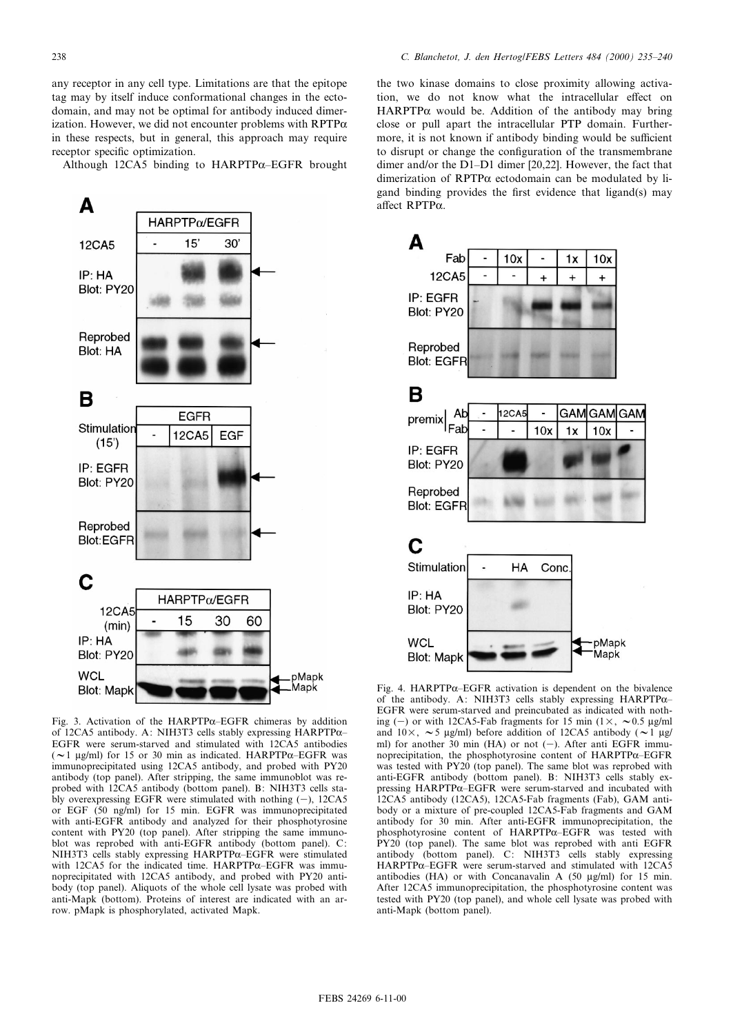any receptor in any cell type. Limitations are that the epitope tag may by itself induce conformational changes in the ectodomain, and may not be optimal for antibody induced dimerization. However, we did not encounter problems with  $RPTP\alpha$ in these respects, but in general, this approach may require receptor specific optimization.

Although 12CA5 binding to  $HARPTP\alpha$ -EGFR brought



Fig. 3. Activation of the HARPTP $\alpha$ -EGFR chimeras by addition of 12CA5 antibody. A: NIH3T3 cells stably expressing HARPTP $\alpha$ -EGFR were serum-starved and stimulated with 12CA5 antibodies ( $\sim$ 1 µg/ml) for 15 or 30 min as indicated. HARPTP $\alpha$ -EGFR was immunoprecipitated using 12CA5 antibody, and probed with PY20 antibody (top panel). After stripping, the same immunoblot was reprobed with 12CA5 antibody (bottom panel). B: NIH3T3 cells stably overexpressing EGFR were stimulated with nothing  $(-)$ , 12CA5 or EGF (50 ng/ml) for 15 min. EGFR was immunoprecipitated with anti-EGFR antibody and analyzed for their phosphotyrosine content with PY20 (top panel). After stripping the same immunoblot was reprobed with anti-EGFR antibody (bottom panel). C: NIH3T3 cells stably expressing HARPTP $\alpha$ -EGFR were stimulated with 12CA5 for the indicated time.  $HARPTP\alpha$ -EGFR was immunoprecipitated with 12CA5 antibody, and probed with PY20 antibody (top panel). Aliquots of the whole cell lysate was probed with anti-Mapk (bottom). Proteins of interest are indicated with an arrow. pMapk is phosphorylated, activated Mapk.

the two kinase domains to close proximity allowing activation, we do not know what the intracellular effect on HARPTP $\alpha$  would be. Addition of the antibody may bring close or pull apart the intracellular PTP domain. Furthermore, it is not known if antibody binding would be sufficient to disrupt or change the configuration of the transmembrane dimer and/or the D1-D1 dimer [20,22]. However, the fact that dimerization of  $RPTP\alpha$  ectodomain can be modulated by ligand binding provides the first evidence that ligand(s) may affect RPTP $\alpha$ .



Fig. 4. HARPTP $\alpha$ -EGFR activation is dependent on the bivalence of the antibody. A: NIH3T3 cells stably expressing HARPTP $\alpha$ -EGFR were serum-starved and preincubated as indicated with nothing (-) or with 12CA5-Fab fragments for 15 min (1 $\times$ ,  $\sim$  0.5 µg/ml and  $10\times$ ,  $\sim$  5 µg/ml) before addition of 12CA5 antibody ( $\sim$  1 µg/ ml) for another 30 min (HA) or not  $(-)$ . After anti EGFR immunoprecipitation, the phosphotyrosine content of HARPTPα-EGFR was tested with PY20 (top panel). The same blot was reprobed with anti-EGFR antibody (bottom panel). B: NIH3T3 cells stably expressing HARPTP $\alpha$ -EGFR were serum-starved and incubated with 12CA5 antibody (12CA5), 12CA5-Fab fragments (Fab), GAM antibody or a mixture of pre-coupled 12CA5-Fab fragments and GAM antibody for 30 min. After anti-EGFR immunoprecipitation, the phosphotyrosine content of  $HARPTP\alpha$ -EGFR was tested with PY20 (top panel). The same blot was reprobed with anti EGFR antibody (bottom panel). C: NIH3T3 cells stably expressing  $HARPTP\alpha$ -EGFR were serum-starved and stimulated with 12CA5 antibodies  $(HA)$  or with Concanavalin A (50  $\mu$ g/ml) for 15 min. After 12CA5 immunoprecipitation, the phosphotyrosine content was tested with PY20 (top panel), and whole cell lysate was probed with anti-Mapk (bottom panel).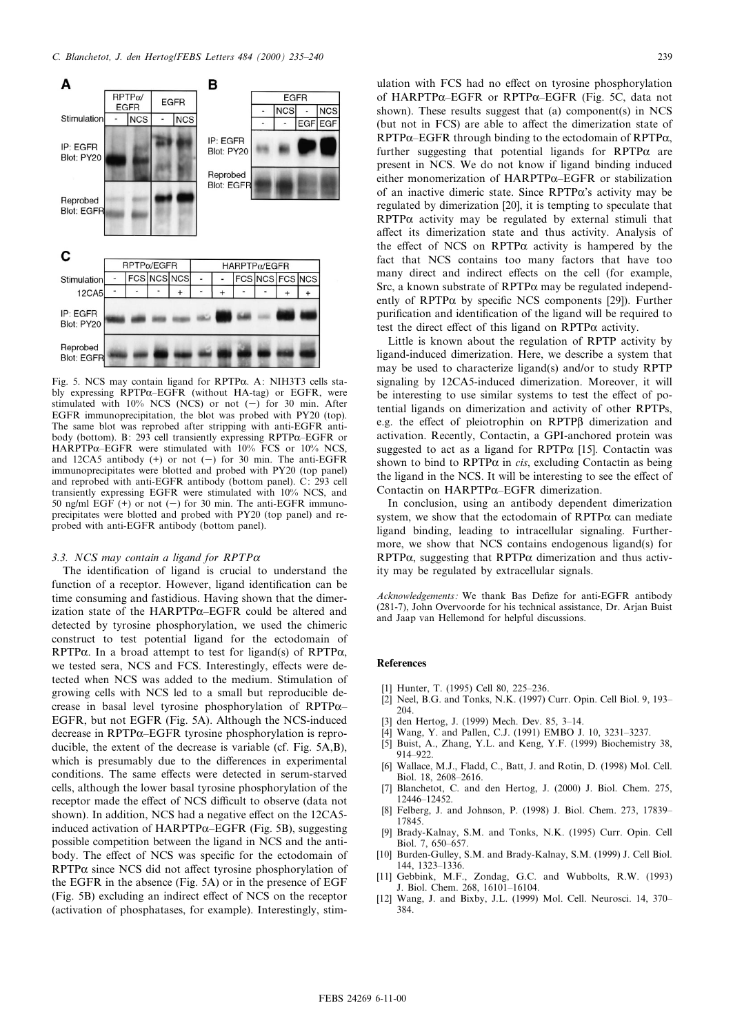

Fig. 5. NCS may contain ligand for  $RPTP\alpha$ . A: NIH3T3 cells stably expressing RPTP $\alpha$ -EGFR (without HA-tag) or EGFR, were stimulated with  $10\%$  NCS (NCS) or not  $(-)$  for 30 min. After EGFR immunoprecipitation, the blot was probed with PY20 (top). The same blot was reprobed after stripping with anti-EGFR antibody (bottom). B: 293 cell transiently expressing RPTP $\alpha$ –EGFR or HARPTP $\alpha$ -EGFR were stimulated with 10% FCS or 10% NCS, and 12CA5 antibody  $(+)$  or not  $(-)$  for 30 min. The anti-EGFR immunoprecipitates were blotted and probed with PY20 (top panel) and reprobed with anti-EGFR antibody (bottom panel). C: 293 cell transiently expressing EGFR were stimulated with 10% NCS, and 50 ng/ml EGF  $(+)$  or not  $(-)$  for 30 min. The anti-EGFR immunoprecipitates were blotted and probed with PY20 (top panel) and reprobed with anti-EGFR antibody (bottom panel).

## 3.3. NCS may contain a ligand for  $RPTP\alpha$

The identification of ligand is crucial to understand the function of a receptor. However, ligand identification can be time consuming and fastidious. Having shown that the dimerization state of the HARPTP $\alpha$ -EGFR could be altered and detected by tyrosine phosphorylation, we used the chimeric construct to test potential ligand for the ectodomain of RPTP $\alpha$ . In a broad attempt to test for ligand(s) of RPTP $\alpha$ , we tested sera, NCS and FCS. Interestingly, effects were detected when NCS was added to the medium. Stimulation of growing cells with NCS led to a small but reproducible decrease in basal level tyrosine phosphorylation of RPTP $\alpha$ -EGFR, but not EGFR (Fig. 5A). Although the NCS-induced decrease in RPTP $\alpha$ -EGFR tyrosine phosphorylation is reproducible, the extent of the decrease is variable (cf. Fig. 5A,B), which is presumably due to the differences in experimental conditions. The same effects were detected in serum-starved cells, although the lower basal tyrosine phosphorylation of the receptor made the effect of NCS difficult to observe (data not shown). In addition, NCS had a negative effect on the 12CA5induced activation of HARPTP $\alpha$ –EGFR (Fig. 5B), suggesting possible competition between the ligand in NCS and the antibody. The effect of NCS was specific for the ectodomain of  $RPTP\alpha$  since NCS did not affect tyrosine phosphorylation of the EGFR in the absence (Fig. 5A) or in the presence of EGF (Fig. 5B) excluding an indirect effect of NCS on the receptor (activation of phosphatases, for example). Interestingly, stimulation with FCS had no effect on tyrosine phosphorylation of HARPTP $\alpha$ -EGFR or RPTP $\alpha$ -EGFR (Fig. 5C, data not shown). These results suggest that (a) component(s) in NCS (but not in FCS) are able to affect the dimerization state of RPTP $\alpha$ –EGFR through binding to the ectodomain of RPTP $\alpha$ , further suggesting that potential ligands for  $RPTP\alpha$  are present in NCS. We do not know if ligand binding induced either monomerization of  $HARPTP\alpha$ –EGFR or stabilization of an inactive dimeric state. Since  $RPTP\alpha$ 's activity may be regulated by dimerization [20], it is tempting to speculate that  $RPTP\alpha$  activity may be regulated by external stimuli that affect its dimerization state and thus activity. Analysis of the effect of NCS on RPTP $\alpha$  activity is hampered by the fact that NCS contains too many factors that have too many direct and indirect effects on the cell (for example, Src, a known substrate of  $RPTP\alpha$  may be regulated independently of RPTP $\alpha$  by specific NCS components [29]). Further purification and identification of the ligand will be required to test the direct effect of this ligand on  $RPTP\alpha$  activity.

Little is known about the regulation of RPTP activity by ligand-induced dimerization. Here, we describe a system that may be used to characterize ligand(s) and/or to study RPTP signaling by 12CA5-induced dimerization. Moreover, it will be interesting to use similar systems to test the effect of potential ligands on dimerization and activity of other RPTPs, e.g. the effect of pleiotrophin on RPTPß dimerization and activation. Recently, Contactin, a GPI-anchored protein was suggested to act as a ligand for  $RPTP\alpha$  [15]. Contactin was shown to bind to  $RPTP\alpha$  in *cis*, excluding Contactin as being the ligand in the NCS. It will be interesting to see the effect of Contactin on HARPTP $\alpha$ -EGFR dimerization.

In conclusion, using an antibody dependent dimerization system, we show that the ectodomain of  $RPTP\alpha$  can mediate ligand binding, leading to intracellular signaling. Furthermore, we show that NCS contains endogenous ligand(s) for  $RPTP\alpha$ , suggesting that  $RPTP\alpha$  dimerization and thus activity may be regulated by extracellular signals.

Acknowledgements: We thank Bas Defize for anti-EGFR antibody (281-7), John Overvoorde for his technical assistance, Dr. Arjan Buist and Jaap van Hellemond for helpful discussions.

# References

- [1] Hunter, T. (1995) Cell 80, 225-236.
- [2] Neel, B.G. and Tonks, N.K. (1997) Curr. Opin. Cell Biol. 9, 193-204.
- [3] den Hertog, J. (1999) Mech. Dev. 85, 3-14.
- [4] Wang, Y. and Pallen, C.J. (1991) EMBO J. 10, 3231-3237.
- [5] Buist, A., Zhang, Y.L. and Keng, Y.F. (1999) Biochemistry 38, 914-922.
- [6] Wallace, M.J., Fladd, C., Batt, J. and Rotin, D. (1998) Mol. Cell. Biol. 18, 2608-2616.
- Blanchetot, C. and den Hertog, J. (2000) J. Biol. Chem. 275, 12446^12452.
- [8] Felberg, J. and Johnson, P. (1998) J. Biol. Chem. 273, 17839-17845.
- [9] Brady-Kalnay, S.M. and Tonks, N.K. (1995) Curr. Opin. Cell Biol. 7, 650-657.
- [10] Burden-Gulley, S.M. and Brady-Kalnay, S.M. (1999) J. Cell Biol. 144, 1323^1336.
- [11] Gebbink, M.F., Zondag, G.C. and Wubbolts, R.W. (1993) J. Biol. Chem. 268, 16101^16104.
- [12] Wang, J. and Bixby, J.L. (1999) Mol. Cell. Neurosci. 14, 370-384.